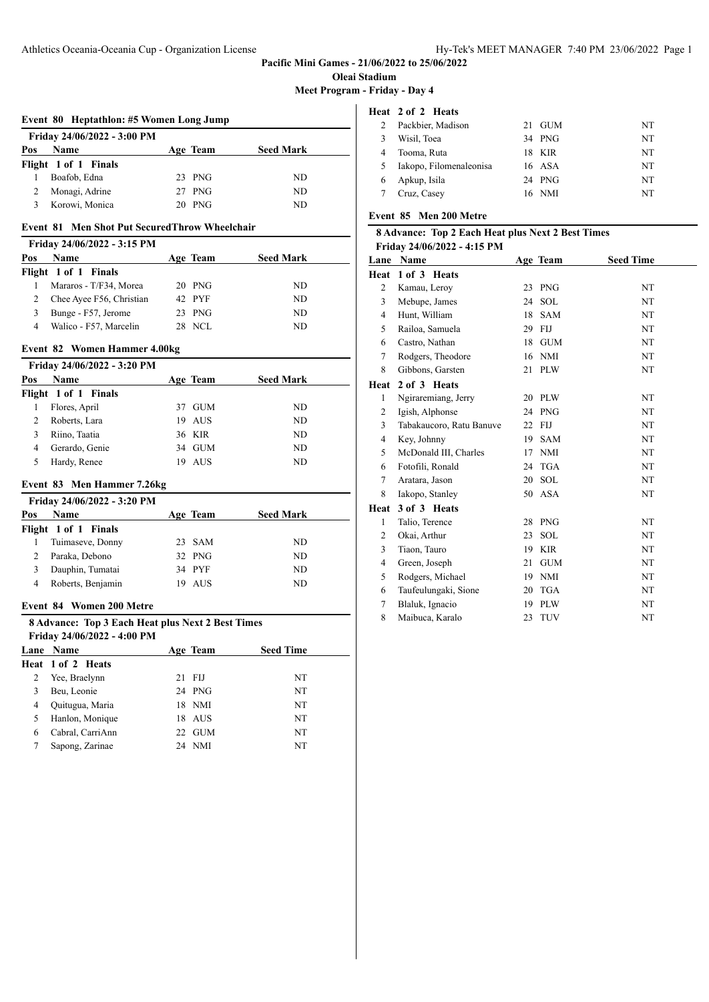**Pacific Mini Games - 21/06/2022 to 25/06/2022**

**Oleai Stadium**

**Meet Program - Friday - Day 4**

#### **Event 80 Heptathlon: #5 Women Long Jump**

|     | Friday 24/06/2022 - 3:00 PM |          |                  |
|-----|-----------------------------|----------|------------------|
| Pos | <b>Name</b>                 | Age Team | <b>Seed Mark</b> |
|     | Flight 1 of 1 Finals        |          |                  |
|     | Boafob, Edna                | 23 PNG   | ND               |
|     | Monagi, Adrine              | 27 PNG   | ND               |
|     | Korowi, Monica              | 20 PNG   | ND               |

#### **Event 81 Men Shot Put SecuredThrow Wheelchair**

|     | Friday 24/06/2022 - 3:15 PM |          |                  |
|-----|-----------------------------|----------|------------------|
| Pos | <b>Name</b>                 | Age Team | <b>Seed Mark</b> |
|     | Flight 1 of 1 Finals        |          |                  |
|     | Mararos - T/F34, Morea      | $20$ PNG | ND.              |
|     | Chee Ayee F56, Christian    | 42 PYF   | ND.              |
| 3   | Bunge - F57, Jerome         | $23$ PNG | ND               |
| 4   | Walico - F57, Marcelin      | 28 NCL   | ND               |

#### **Event 82 Women Hammer 4.00kg**

|     | Friday 24/06/2022 - 3:20 PM |     |            |                  |
|-----|-----------------------------|-----|------------|------------------|
| Pos | Name                        |     | Age Team   | <b>Seed Mark</b> |
|     | Flight 1 of 1 Finals        |     |            |                  |
|     | Flores, April               | 37. | <b>GUM</b> | ND.              |
|     | Roberts, Lara               |     | 19 AUS     | ND.              |
| 3   | Riino, Taatia               |     | 36 KIR     | ND.              |
| 4   | Gerardo, Genie              |     | 34 GUM     | ND.              |
|     | Hardy, Renee                | 19  | AUS        | ND               |

# **Event 83 Men Hammer 7.26kg**

|     | Friday 24/06/2022 - 3:20 PM |     |          |                  |
|-----|-----------------------------|-----|----------|------------------|
| Pos | <b>Name</b>                 |     | Age Team | <b>Seed Mark</b> |
|     | Flight 1 of 1 Finals        |     |          |                  |
|     | Tuimaseve, Donny            |     | 23 SAM   | ND.              |
|     | Paraka, Debono              |     | 32 PNG   | ND.              |
|     | Dauphin, Tumatai            |     | 34 PYF   | ND.              |
| 4   | Roberts, Benjamin           | 19. | AUS      | ND               |

## **Event 84 Women 200 Metre**

| 8 Advance: Top 3 Each Heat plus Next 2 Best Times |                             |          |                  |  |  |
|---------------------------------------------------|-----------------------------|----------|------------------|--|--|
|                                                   | Friday 24/06/2022 - 4:00 PM |          |                  |  |  |
|                                                   | <b>Lane Name</b>            | Age Team | <b>Seed Time</b> |  |  |

| Heat 1 of 2 Heats |    |        |    |
|-------------------|----|--------|----|
| Yee, Braelynn     |    | 21 FIJ | NT |
| Beu, Leonie       |    | 24 PNG | NT |
| Quitugua, Maria   |    | 18 NMI | NT |
| Hanlon, Monique   |    | 18 AUS | NT |
| Cabral, CarriAnn  | 22 | GUM    | NT |
| Sapong, Zarinae   |    | 24 NMI | NT |
|                   |    |        |    |

# **Heat 2 of 2 Heats**

|   | Packbier, Madison       | 21 GUM | NT |
|---|-------------------------|--------|----|
|   | Wisil, Toea             | 34 PNG | NT |
|   | Tooma, Ruta             | 18 KIR | NT |
| 5 | Iakopo, Filomenaleonisa | 16 ASA | NT |
| 6 | Apkup, Isila            | 24 PNG | NT |
|   | Cruz, Casey             | 16 NMI | NT |
|   |                         |        |    |

# **Event 85 Men 200 Metre**

# **8 Advance: Top 2 Each Heat plus Next 2 Best Times Friday 24/06/2022 - 4:15 PM**

|                | . .,,<br>Lane Name       |    | Age Team   | <b>Seed Time</b> |
|----------------|--------------------------|----|------------|------------------|
| Heat           | 1 of 3 Heats             |    |            |                  |
| 2              | Kamau, Leroy             | 23 | <b>PNG</b> | NT               |
| 3              | Mebupe, James            | 24 | <b>SOL</b> | NT               |
| 4              | Hunt, William            | 18 | <b>SAM</b> | NT               |
| 5              | Railoa, Samuela          | 29 | <b>FIJ</b> | NT               |
| 6              | Castro, Nathan           | 18 | <b>GUM</b> | NT               |
| $\tau$         | Rodgers, Theodore        | 16 | <b>NMI</b> | NT               |
| 8              | Gibbons, Garsten         | 21 | <b>PLW</b> | NT               |
| Heat           | 2 of 3 Heats             |    |            |                  |
| 1              | Ngiraremiang, Jerry      | 20 | <b>PLW</b> | NT               |
| $\overline{2}$ | Igish, Alphonse          | 24 | <b>PNG</b> | NT               |
| 3              | Tabakaucoro, Ratu Banuve | 22 | <b>FIJ</b> | NT               |
| $\overline{4}$ | Key, Johnny              | 19 | <b>SAM</b> | NT               |
| 5              | McDonald III, Charles    | 17 | <b>NMI</b> | NT               |
| 6              | Fotofili, Ronald         | 24 | <b>TGA</b> | NT               |
| $\tau$         | Aratara, Jason           | 20 | <b>SOL</b> | NT               |
| 8              | Iakopo, Stanley          | 50 | ASA        | NT               |
| Heat           | 3 of 3 Heats             |    |            |                  |
| 1              | Talio, Terence           | 28 | <b>PNG</b> | NT               |
| 2              | Okai, Arthur             | 23 | <b>SOL</b> | NT               |
| 3              | Tiaon, Tauro             | 19 | <b>KIR</b> | NT               |
| $\overline{4}$ | Green, Joseph            | 21 | <b>GUM</b> | NT               |
| 5              | Rodgers, Michael         | 19 | <b>NMI</b> | NT               |
| 6              | Taufeulungaki, Sione     | 20 | <b>TGA</b> | NT               |
| 7              | Blaluk, Ignacio          | 19 | <b>PLW</b> | NT               |
| 8              | Maibuca, Karalo          | 23 | <b>TUV</b> | NT               |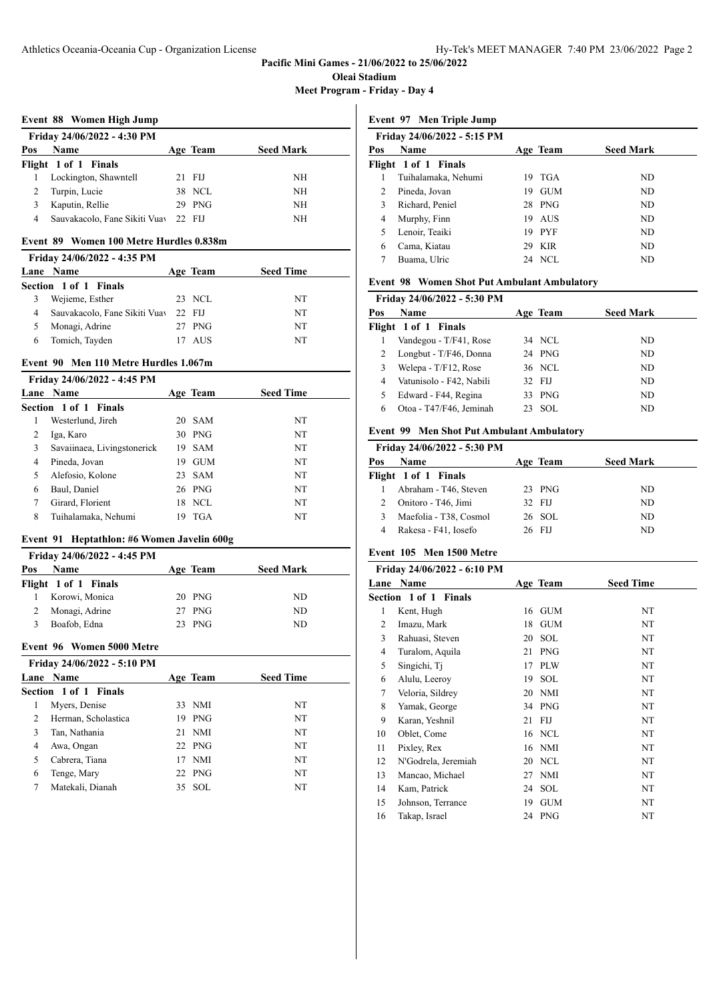**Pacific Mini Games - 21/06/2022 to 25/06/2022**

**Oleai Stadium**

**Meet Program - Friday - Day 4**

#### **Event 88 Women High Jump**

|     | Friday 24/06/2022 - 4:30 PM   |        |          |                  |
|-----|-------------------------------|--------|----------|------------------|
| Pos | <b>Name</b>                   |        | Age Team | <b>Seed Mark</b> |
|     | Flight 1 of 1 Finals          |        |          |                  |
|     | Lockington, Shawntell         |        | 21 FIJ   | NH               |
|     | Turpin, Lucie                 |        | 38 NCL   | NH               |
|     | Kaputin, Rellie               |        | 29 PNG   | NΗ               |
| 4   | Sauvakacolo, Fane Sikiti Vuav | 22 FIJ |          | NH               |

#### **Event 89 Women 100 Metre Hurdles 0.838m**

| Friday 24/06/2022 - 4:35 PM |                               |  |          |                  |  |  |
|-----------------------------|-------------------------------|--|----------|------------------|--|--|
|                             | <b>Lane Name</b>              |  | Age Team | <b>Seed Time</b> |  |  |
|                             | Section 1 of 1 Finals         |  |          |                  |  |  |
|                             | Wejieme, Esther               |  | 23 NCL   | NT               |  |  |
| 4                           | Sauvakacolo, Fane Sikiti Vuav |  | 22 FIJ   | NT               |  |  |
|                             | Monagi, Adrine                |  | 27 PNG   | NT               |  |  |
| 6                           | Tomich, Tayden                |  | AUS      | NT               |  |  |
|                             |                               |  |          |                  |  |  |

#### **Event 90 Men 110 Metre Hurdles 1.067m**

|   | Friday 24/06/2022 - 4:45 PM |    |            |                  |
|---|-----------------------------|----|------------|------------------|
|   | Lane Name                   |    | Age Team   | <b>Seed Time</b> |
|   | Section 1 of 1 Finals       |    |            |                  |
| 1 | Westerlund, Jireh           |    | 20 SAM     | NT               |
| 2 | Iga, Karo                   |    | 30 PNG     | NT               |
| 3 | Savaiinaea, Livingstonerick | 19 | <b>SAM</b> | NT               |
| 4 | Pineda, Jovan               | 19 | <b>GUM</b> | NT               |
| 5 | Alefosio, Kolone            |    | 23 SAM     | NT               |
| 6 | Baul, Daniel                |    | 26 PNG     | NT               |
| 7 | Girard, Florient            | 18 | NCL.       | NT               |
| 8 | Tuihalamaka, Nehumi         |    | <b>TGA</b> | NT               |

#### **Event 91 Heptathlon: #6 Women Javelin 600g**

|     | Friday 24/06/2022 - 4:45 PM |          |                  |
|-----|-----------------------------|----------|------------------|
| Pos | <b>Name</b>                 | Age Team | <b>Seed Mark</b> |
|     | Flight 1 of 1 Finals        |          |                  |
|     | Korowi, Monica              | 20 PNG   | ND.              |
|     | Monagi, Adrine              | 27 PNG   | ND               |
|     | Boafob, Edna                | $23$ PNG | ND               |

# **Event 96 Women 5000 Metre**

|   | Friday 24/06/2022 - 5:10 PM |     |            |                  |
|---|-----------------------------|-----|------------|------------------|
|   | Lane Name                   |     | Age Team   | <b>Seed Time</b> |
|   | Section 1 of 1 Finals       |     |            |                  |
| 1 | Myers, Denise               |     | 33 NMI     | NT               |
| 2 | Herman, Scholastica         | 19. | <b>PNG</b> | NT               |
| 3 | Tan, Nathania               |     | $21$ NMI   | NT               |
| 4 | Awa, Ongan                  |     | $22$ PNG   | NT               |
| 5 | Cabrera, Tiana              |     | 17 NMI     | NT               |
| 6 | Tenge, Mary                 |     | $22$ PNG   | NT               |
|   | Matekali, Dianah            |     | 35 SOL     | NT               |

**Event 97 Men Triple Jump**

|               | Friday 24/06/2022 - 5:15 PM |     |            |                  |
|---------------|-----------------------------|-----|------------|------------------|
| Pos           | Name                        |     | Age Team   | <b>Seed Mark</b> |
|               | Flight 1 of 1 Finals        |     |            |                  |
|               | Tuihalamaka, Nehumi         | 19. | TGA        | ND               |
| $\mathcal{L}$ | Pineda, Jovan               | 19  | <b>GUM</b> | ND.              |
|               | Richard, Peniel             |     | 28 PNG     | ND.              |
| 4             | Murphy, Finn                |     | 19 AUS     | ND.              |
|               | Lenoir, Teaiki              |     | 19 PYF     | ND.              |
| 6             | Cama, Kiatau                |     | 29 KIR     | ND.              |
|               | Buama, Ulric                |     | 24 NCL     | ND               |
|               |                             |     |            |                  |

# **Event 98 Women Shot Put Ambulant Ambulatory**

| Friday 24/06/2022 - 5:30 PM |                          |        |          |                  |  |
|-----------------------------|--------------------------|--------|----------|------------------|--|
| Pos                         | <b>Name</b>              |        | Age Team | <b>Seed Mark</b> |  |
|                             | Flight 1 of 1 Finals     |        |          |                  |  |
|                             | Vandegou - T/F41, Rose   |        | 34 NCL   | ND.              |  |
|                             | Longbut - T/F46, Donna   |        | 24 PNG   | ND.              |  |
|                             | Welepa - T/F12, Rose     |        | 36 NCL   | ND.              |  |
| 4                           | Vatunisolo - F42, Nabili | 32 FIJ |          | ND.              |  |
|                             | Edward - F44, Regina     |        | 33 PNG   | ND.              |  |
| 6                           | Otoa - T47/F46, Jeminah  |        | 23 SOL   | ND.              |  |
|                             |                          |        |          |                  |  |

# **Event 99 Men Shot Put Ambulant Ambulatory**

|     | Friday 24/06/2022 - 5:30 PM |          |                  |
|-----|-----------------------------|----------|------------------|
| Pos | <b>Name</b>                 | Age Team | <b>Seed Mark</b> |
|     | Flight 1 of 1 Finals        |          |                  |
|     | Abraham - T46, Steven       | $23$ PNG | ND.              |
|     | Onitoro - T46, Jimi         | 32 FIJ   | ND.              |
| 3   | Maefolia - T38, Cosmol      | 26 SOL   | ND.              |
|     | Rakesa - F41, Iosefo        | 26 FIJ   | ND               |

# **Event 105 Men 1500 Metre**

|      | Friday 24/06/2022 - 6:10 PM  |    |            |                  |
|------|------------------------------|----|------------|------------------|
| Lane | Name                         |    | Age Team   | <b>Seed Time</b> |
|      | <b>Section 1 of 1 Finals</b> |    |            |                  |
| 1    | Kent, Hugh                   | 16 | <b>GUM</b> | NT               |
| 2    | Imazu, Mark                  | 18 | <b>GUM</b> | NT               |
| 3    | Rahuasi, Steven              | 20 | <b>SOL</b> | NT               |
| 4    | Turalom, Aquila              | 21 | <b>PNG</b> | NT               |
| 5    | Singichi, Ti                 | 17 | <b>PLW</b> | NT               |
| 6    | Alulu, Leeroy                | 19 | <b>SOL</b> | NT               |
| 7    | Veloria, Sildrey             | 20 | <b>NMI</b> | NT               |
| 8    | Yamak, George                |    | 34 PNG     | NT               |
| 9    | Karan, Yeshnil               | 21 | FIJ        | NT               |
| 10   | Oblet, Come                  |    | 16 NCL     | NT               |
| 11   | Pixley, Rex                  |    | 16 NMI     | NT               |
| 12   | N'Godrela, Jeremiah          | 20 | <b>NCL</b> | NT               |
| 13   | Mancao, Michael              | 27 | <b>NMI</b> | NT               |
| 14   | Kam, Patrick                 |    | 24 SOL     | NT               |
| 15   | Johnson, Terrance            | 19 | <b>GUM</b> | NT               |
| 16   | Takap, Israel                |    | 24 PNG     | NT               |